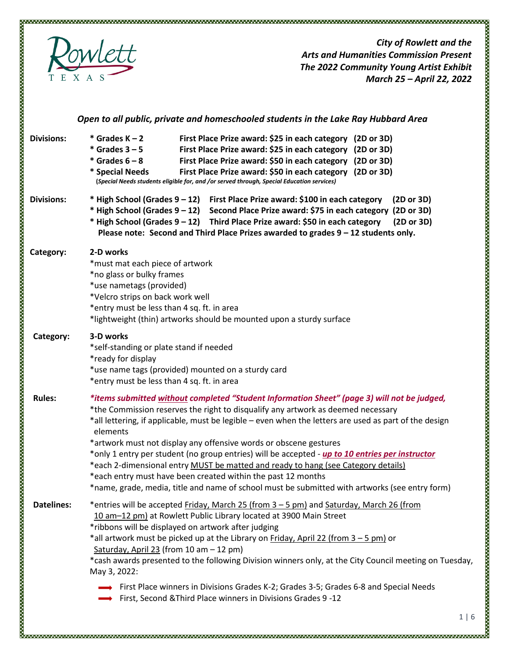

*City of Rowlett and the Arts and Humanities Commission Present The 2022 Community Young Artist Exhibit March 25 – April 22, 2022* 

|                   | Open to all public, private and homeschooled students in the Lake Ray Hubbard Area                                                                                                                                                                                                                                                                                                                                                                                                                                                                                                                                                                                                                                                         |
|-------------------|--------------------------------------------------------------------------------------------------------------------------------------------------------------------------------------------------------------------------------------------------------------------------------------------------------------------------------------------------------------------------------------------------------------------------------------------------------------------------------------------------------------------------------------------------------------------------------------------------------------------------------------------------------------------------------------------------------------------------------------------|
| <b>Divisions:</b> | $*$ Grades K – 2<br>First Place Prize award: \$25 in each category (2D or 3D)<br>$*$ Grades $3 - 5$<br>First Place Prize award: \$25 in each category (2D or 3D)<br>$*$ Grades $6 - 8$<br>First Place Prize award: \$50 in each category (2D or 3D)<br>First Place Prize award: \$50 in each category (2D or 3D)<br>* Special Needs<br>(Special Needs students eligible for, and /or served through, Special Education services)                                                                                                                                                                                                                                                                                                           |
| <b>Divisions:</b> | * High School (Grades 9 - 12) First Place Prize award: \$100 in each category<br>(2D or 3D)<br>* High School (Grades 9 – 12)<br>Second Place Prize award: \$75 in each category (2D or 3D)<br>* High School (Grades 9 - 12) Third Place Prize award: \$50 in each category<br>(2D or 3D)<br>Please note: Second and Third Place Prizes awarded to grades 9 - 12 students only.                                                                                                                                                                                                                                                                                                                                                             |
| Category:         | 2-D works<br>*must mat each piece of artwork<br>*no glass or bulky frames<br>*use nametags (provided)<br>*Velcro strips on back work well<br>*entry must be less than 4 sq. ft. in area<br>*lightweight (thin) artworks should be mounted upon a sturdy surface                                                                                                                                                                                                                                                                                                                                                                                                                                                                            |
| Category:         | 3-D works<br>*self-standing or plate stand if needed<br>*ready for display<br>*use name tags (provided) mounted on a sturdy card<br>*entry must be less than 4 sq. ft. in area                                                                                                                                                                                                                                                                                                                                                                                                                                                                                                                                                             |
| <b>Rules:</b>     | *items submitted without completed "Student Information Sheet" (page 3) will not be judged,<br>*the Commission reserves the right to disqualify any artwork as deemed necessary<br>*all lettering, if applicable, must be legible - even when the letters are used as part of the design<br>elements<br>*artwork must not display any offensive words or obscene gestures<br>*only 1 entry per student (no group entries) will be accepted - <i>up to 10 entries per instructor</i><br>*each 2-dimensional entry MUST be matted and ready to hang (see Category details)<br>*each entry must have been created within the past 12 months<br>*name, grade, media, title and name of school must be submitted with artworks (see entry form) |
| <b>Datelines:</b> | *entries will be accepted Friday, March 25 (from 3 - 5 pm) and Saturday, March 26 (from<br>10 am-12 pm) at Rowlett Public Library located at 3900 Main Street<br>*ribbons will be displayed on artwork after judging<br>*all artwork must be picked up at the Library on Friday, April 22 (from 3 - 5 pm) or<br>Saturday, April 23 (from 10 am - 12 pm)<br>*cash awards presented to the following Division winners only, at the City Council meeting on Tuesday,<br>May 3, 2022:<br>$\rightarrow$ First Place winners in Divisions Grades K-2; Grades 3-5; Grades 6-8 and Special Needs<br>First, Second & Third Place winners in Divisions Grades 9-12                                                                                   |
|                   |                                                                                                                                                                                                                                                                                                                                                                                                                                                                                                                                                                                                                                                                                                                                            |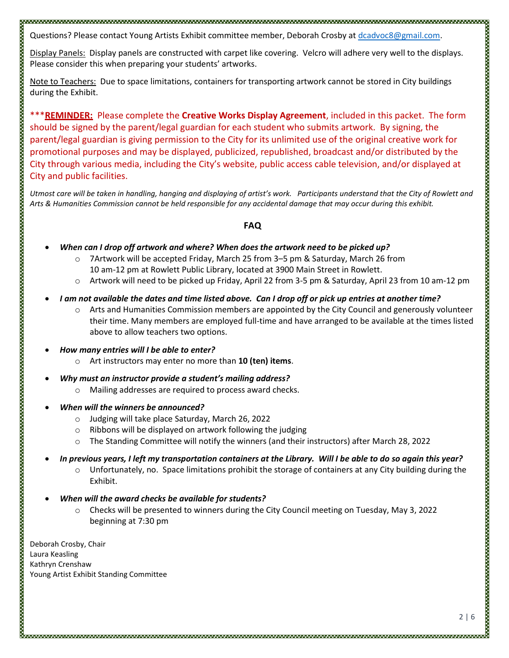Questions? Please contact Young Artists Exhibit committee member, Deborah Crosby at dcadvoc8@gmail.com.

Display Panels: Display panels are constructed with carpet like covering. Velcro will adhere very well to the displays. Please consider this when preparing your students' artworks.

Note to Teachers: Due to space limitations, containers for transporting artwork cannot be stored in City buildings during the Exhibit.

\*\*\***REMINDER:** Please complete the **Creative Works Display Agreement**, included in this packet. The form should be signed by the parent/legal guardian for each student who submits artwork. By signing, the parent/legal guardian is giving permission to the City for its unlimited use of the original creative work for promotional purposes and may be displayed, publicized, republished, broadcast and/or distributed by the City through various media, including the City's website, public access cable television, and/or displayed at City and public facilities.

*Utmost care will be taken in handling, hanging and displaying of artist's work. Participants understand that the City of Rowlett and Arts & Humanities Commission cannot be held responsible for any accidental damage that may occur during this exhibit.*

## **FAQ**

- *When can I drop off artwork and where? When does the artwork need to be picked up?*
	- o 7Artwork will be accepted Friday, March 25 from 3–5 pm & Saturday, March 26 from
		- 10 am-12 pm at Rowlett Public Library, located at 3900 Main Street in Rowlett.
	- o Artwork will need to be picked up Friday, April 22 from 3-5 pm & Saturday, April 23 from 10 am-12 pm
- *I am not available the dates and time listed above. Can I drop off or pick up entries at another time?*
	- o Arts and Humanities Commission members are appointed by the City Council and generously volunteer their time. Many members are employed full-time and have arranged to be available at the times listed above to allow teachers two options.
- *How many entries will I be able to enter?*

- o Art instructors may enter no more than **10 (ten) items**.
- *Why must an instructor provide a student's mailing address?*
	- o Mailing addresses are required to process award checks.
- *When will the winners be announced?*
	- o Judging will take place Saturday, March 26, 2022
	- o Ribbons will be displayed on artwork following the judging
	- o The Standing Committee will notify the winners (and their instructors) after March 28, 2022
- *In previous years, I left my transportation containers at the Library. Will I be able to do so again this year?*
	- o Unfortunately, no. Space limitations prohibit the storage of containers at any City building during the Exhibit.
- *When will the award checks be available for students?* 
	- o Checks will be presented to winners during the City Council meeting on Tuesday, May 3, 2022 beginning at 7:30 pm

Deborah Crosby, Chair Laura Keasling Kathryn Crenshaw Young Artist Exhibit Standing Committee ത്തെ പ്രത്യേകത്തിന്റെ പ്രത്യേകത്തിന്റെ പ്രത്യേകത്തിന്റെ പ്രത്യേകത്തിന്റെ പ്രത്യേകത്തിന്റെ പ്രത്യേകത്തിന്റെ പ്രത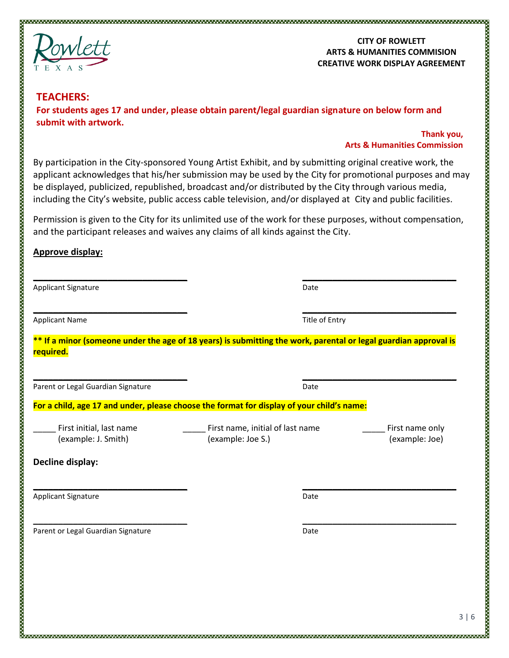

## **CITY OF ROWLETT ARTS & HUMANITIES COMMISION CREATIVE WORK DISPLAY AGREEMENT**

# **TEACHERS: For students ages 17 and under, please obtain parent/legal guardian signature on below form and submit with artwork.**

# **Thank you, Arts & Humanities Commission**

By participation in the City-sponsored Young Artist Exhibit, and by submitting original creative work, the applicant acknowledges that his/her submission may be used by the City for promotional purposes and may be displayed, publicized, republished, broadcast and/or distributed by the City through various media, including the City's website, public access cable television, and/or displayed at City and public facilities.

Permission is given to the City for its unlimited use of the work for these purposes, without compensation, and the participant releases and waives any claims of all kinds against the City.

**\_\_\_\_\_\_\_\_\_\_\_\_\_\_\_\_\_\_\_\_\_\_\_\_\_\_\_\_\_\_\_ \_\_\_\_\_\_\_\_\_\_\_\_\_\_\_\_\_\_\_\_\_\_\_\_\_\_\_\_\_\_\_**

# **Approve display:**

| <b>Applicant Signature</b>                                                                                                                                                                                                                                                                                                                                                                            | Date |  |  |  |  |
|-------------------------------------------------------------------------------------------------------------------------------------------------------------------------------------------------------------------------------------------------------------------------------------------------------------------------------------------------------------------------------------------------------|------|--|--|--|--|
| <b>Applicant Name</b>                                                                                                                                                                                                                                                                                                                                                                                 |      |  |  |  |  |
| Title of Entry<br>** If a minor (someone under the age of 18 years) is submitting the work, parental or legal guardian approval is<br>required.<br>Date<br>For a child, age 17 and under, please choose the format for display of your child's name:<br>First initial, last name<br>First name, initial of last name<br>First name only<br>(example: J. Smith)<br>(example: Joe S.)<br>(example: Joe) |      |  |  |  |  |
| Parent or Legal Guardian Signature                                                                                                                                                                                                                                                                                                                                                                    |      |  |  |  |  |
|                                                                                                                                                                                                                                                                                                                                                                                                       |      |  |  |  |  |
|                                                                                                                                                                                                                                                                                                                                                                                                       |      |  |  |  |  |
| Decline display:                                                                                                                                                                                                                                                                                                                                                                                      |      |  |  |  |  |
| <b>Applicant Signature</b>                                                                                                                                                                                                                                                                                                                                                                            | Date |  |  |  |  |
| Parent or Legal Guardian Signature                                                                                                                                                                                                                                                                                                                                                                    | Date |  |  |  |  |
|                                                                                                                                                                                                                                                                                                                                                                                                       |      |  |  |  |  |
|                                                                                                                                                                                                                                                                                                                                                                                                       |      |  |  |  |  |

ത്തെ പ്രത്യേകത്തിന്റെ പ്രത്യേകത്തിന്റെ പ്രത്യേകത്തിന്റെ പ്രത്യേകത്തിന്റെ പ്രത്യേകത്തിന്റെ പ്രത്യേകത്തിന്റെ പ്രത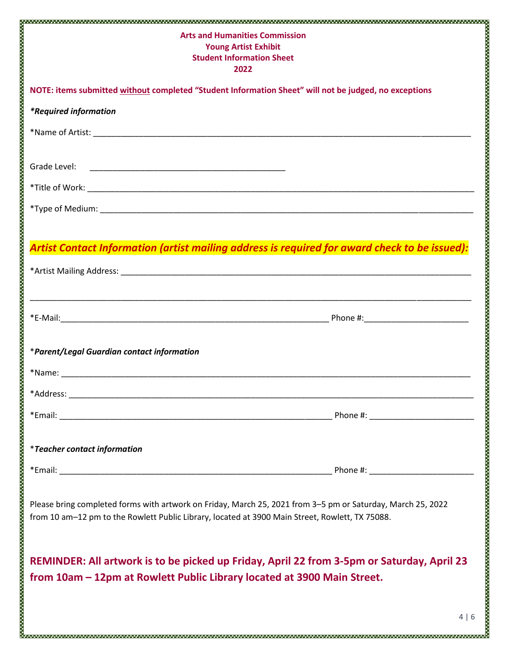| <b>Arts and Humanities Commission</b><br><b>Young Artist Exhibit</b><br><b>Student Information Sheet</b><br>2022                                                                                               |  |
|----------------------------------------------------------------------------------------------------------------------------------------------------------------------------------------------------------------|--|
| NOTE: items submitted without completed "Student Information Sheet" will not be judged, no exceptions                                                                                                          |  |
| <i>*Required information</i>                                                                                                                                                                                   |  |
|                                                                                                                                                                                                                |  |
| Grade Level:                                                                                                                                                                                                   |  |
|                                                                                                                                                                                                                |  |
|                                                                                                                                                                                                                |  |
| Artist Contact Information (artist mailing address is required for award check to be issued):                                                                                                                  |  |
|                                                                                                                                                                                                                |  |
| *Parent/Legal Guardian contact information                                                                                                                                                                     |  |
|                                                                                                                                                                                                                |  |
|                                                                                                                                                                                                                |  |
| <i>*Teacher contact information</i>                                                                                                                                                                            |  |
|                                                                                                                                                                                                                |  |
| Please bring completed forms with artwork on Friday, March 25, 2021 from 3-5 pm or Saturday, March 25, 2022<br>from 10 am-12 pm to the Rowlett Public Library, located at 3900 Main Street, Rowlett, TX 75088. |  |
| REMINDER: All artwork is to be picked up Friday, April 22 from 3-5pm or Saturday, April 23<br>from 10am - 12pm at Rowlett Public Library located at 3900 Main Street.                                          |  |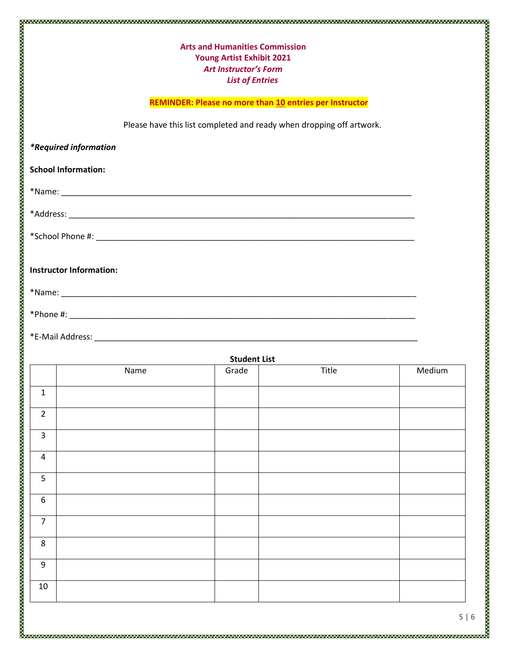# **Arts and Humanities Commission Young Artist Exhibit 2021** *Art Instructor's Form List of Entries*

#### **REMINDER: Please no more than 10 entries per Instructor**

Please have this list completed and ready when dropping off artwork.

*\*Required information*

#### **School Information:**

\*Name: \_\_\_\_\_\_\_\_\_\_\_\_\_\_\_\_\_\_\_\_\_\_\_\_\_\_\_\_\_\_\_\_\_\_\_\_\_\_\_\_\_\_\_\_\_\_\_\_\_\_\_\_\_\_\_\_\_\_\_\_\_\_\_\_\_\_\_\_\_\_\_\_\_\_\_\_\_

\*Address: \_\_\_\_\_\_\_\_\_\_\_\_\_\_\_\_\_\_\_\_\_\_\_\_\_\_\_\_\_\_\_\_\_\_\_\_\_\_\_\_\_\_\_\_\_\_\_\_\_\_\_\_\_\_\_\_\_\_\_\_\_\_\_\_\_\_\_\_\_\_\_\_\_\_\_\_

\*School Phone #: \_\_\_\_\_\_\_\_\_\_\_\_\_\_\_\_\_\_\_\_\_\_\_\_\_\_\_\_\_\_\_\_\_\_\_\_\_\_\_\_\_\_\_\_\_\_\_\_\_\_\_\_\_\_\_\_\_\_\_\_\_\_\_\_\_\_\_\_\_\_

### **Instructor Information:**

\*Name: \_\_\_\_\_\_\_\_\_\_\_\_\_\_\_\_\_\_\_\_\_\_\_\_\_\_\_\_\_\_\_\_\_\_\_\_\_\_\_\_\_\_\_\_\_\_\_\_\_\_\_\_\_\_\_\_\_\_\_\_\_\_\_\_\_\_\_\_\_\_\_\_\_\_\_\_\_\_

\*Phone #: \_\_\_\_\_\_\_\_\_\_\_\_\_\_\_\_\_\_\_\_\_\_\_\_\_\_\_\_\_\_\_\_\_\_\_\_\_\_\_\_\_\_\_\_\_\_\_\_\_\_\_\_\_\_\_\_\_\_\_\_\_\_\_\_\_\_\_\_\_\_\_\_\_\_\_\_

\*E-Mail Address: \_\_\_\_\_\_\_\_\_\_\_\_\_\_\_\_\_\_\_\_\_\_\_\_\_\_\_\_\_\_\_\_\_\_\_\_\_\_\_\_\_\_\_\_\_\_\_\_\_\_\_\_\_\_\_\_\_\_\_\_\_\_\_\_\_\_\_\_\_\_\_

| <b>Student List</b> |      |       |       |        |  |  |
|---------------------|------|-------|-------|--------|--|--|
|                     | Name | Grade | Title | Medium |  |  |
| $\mathbf 1$         |      |       |       |        |  |  |
| $\overline{2}$      |      |       |       |        |  |  |
| $\mathbf{3}$        |      |       |       |        |  |  |
| $\overline{4}$      |      |       |       |        |  |  |
| $5\phantom{.}$      |      |       |       |        |  |  |
| 6                   |      |       |       |        |  |  |
| $\overline{7}$      |      |       |       |        |  |  |
| 8                   |      |       |       |        |  |  |
| $9\,$               |      |       |       |        |  |  |
| $10\,$              |      |       |       |        |  |  |